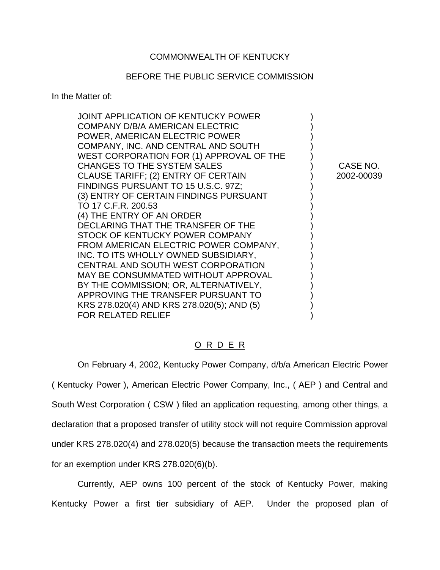### COMMONWEALTH OF KENTUCKY

#### BEFORE THE PUBLIC SERVICE COMMISSION

In the Matter of:

| JOINT APPLICATION OF KENTUCKY POWER<br>COMPANY D/B/A AMERICAN ELECTRIC<br>POWER, AMERICAN ELECTRIC POWER<br>COMPANY, INC. AND CENTRAL AND SOUTH<br>WEST CORPORATION FOR (1) APPROVAL OF THE<br>CHANGES TO THE SYSTEM SALES | CASE NO.   |
|----------------------------------------------------------------------------------------------------------------------------------------------------------------------------------------------------------------------------|------------|
| CLAUSE TARIFF; (2) ENTRY OF CERTAIN                                                                                                                                                                                        | 2002-00039 |
| FINDINGS PURSUANT TO 15 U.S.C. 97Z;                                                                                                                                                                                        |            |
| (3) ENTRY OF CERTAIN FINDINGS PURSUANT                                                                                                                                                                                     |            |
| TO 17 C.F.R. 200.53                                                                                                                                                                                                        |            |
| (4) THE ENTRY OF AN ORDER                                                                                                                                                                                                  |            |
| DECLARING THAT THE TRANSFER OF THE                                                                                                                                                                                         |            |
| STOCK OF KENTUCKY POWER COMPANY                                                                                                                                                                                            |            |
| FROM AMERICAN ELECTRIC POWER COMPANY,                                                                                                                                                                                      |            |
| INC. TO ITS WHOLLY OWNED SUBSIDIARY,                                                                                                                                                                                       |            |
| CENTRAL AND SOUTH WEST CORPORATION                                                                                                                                                                                         |            |
| MAY BE CONSUMMATED WITHOUT APPROVAL                                                                                                                                                                                        |            |
| BY THE COMMISSION; OR, ALTERNATIVELY,                                                                                                                                                                                      |            |
| APPROVING THE TRANSFER PURSUANT TO                                                                                                                                                                                         |            |
| KRS 278.020(4) AND KRS 278.020(5); AND (5)                                                                                                                                                                                 |            |
| <b>FOR RELATED RELIEF</b>                                                                                                                                                                                                  |            |

### O R D E R

On February 4, 2002, Kentucky Power Company, d/b/a American Electric Power ( Kentucky Power ), American Electric Power Company, Inc., ( AEP ) and Central and South West Corporation ( CSW ) filed an application requesting, among other things, a declaration that a proposed transfer of utility stock will not require Commission approval under KRS 278.020(4) and 278.020(5) because the transaction meets the requirements for an exemption under KRS 278.020(6)(b).

Currently, AEP owns 100 percent of the stock of Kentucky Power, making Kentucky Power a first tier subsidiary of AEP. Under the proposed plan of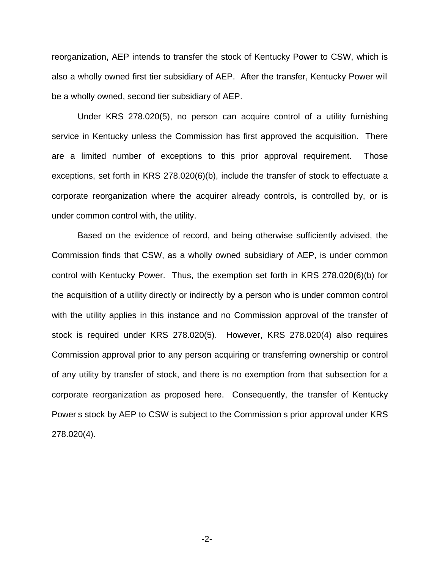reorganization, AEP intends to transfer the stock of Kentucky Power to CSW, which is also a wholly owned first tier subsidiary of AEP. After the transfer, Kentucky Power will be a wholly owned, second tier subsidiary of AEP.

Under KRS 278.020(5), no person can acquire control of a utility furnishing service in Kentucky unless the Commission has first approved the acquisition. There are a limited number of exceptions to this prior approval requirement. Those exceptions, set forth in KRS 278.020(6)(b), include the transfer of stock to effectuate a corporate reorganization where the acquirer already controls, is controlled by, or is under common control with, the utility.

Based on the evidence of record, and being otherwise sufficiently advised, the Commission finds that CSW, as a wholly owned subsidiary of AEP, is under common control with Kentucky Power. Thus, the exemption set forth in KRS 278.020(6)(b) for the acquisition of a utility directly or indirectly by a person who is under common control with the utility applies in this instance and no Commission approval of the transfer of stock is required under KRS 278.020(5). However, KRS 278.020(4) also requires Commission approval prior to any person acquiring or transferring ownership or control of any utility by transfer of stock, and there is no exemption from that subsection for a corporate reorganization as proposed here. Consequently, the transfer of Kentucky Power s stock by AEP to CSW is subject to the Commission s prior approval under KRS 278.020(4).

-2-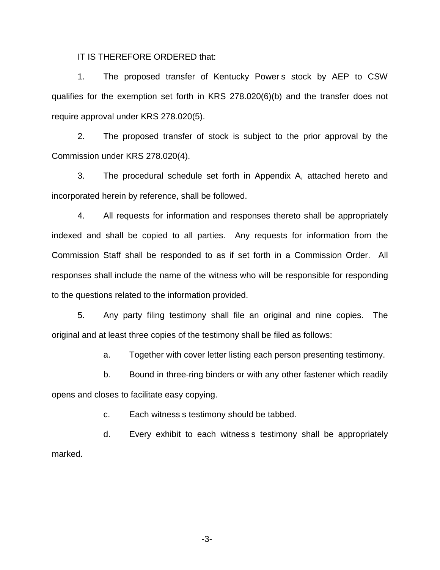IT IS THEREFORE ORDERED that:

1. The proposed transfer of Kentucky Power s stock by AEP to CSW qualifies for the exemption set forth in KRS 278.020(6)(b) and the transfer does not require approval under KRS 278.020(5).

2. The proposed transfer of stock is subject to the prior approval by the Commission under KRS 278.020(4).

3. The procedural schedule set forth in Appendix A, attached hereto and incorporated herein by reference, shall be followed.

4. All requests for information and responses thereto shall be appropriately indexed and shall be copied to all parties. Any requests for information from the Commission Staff shall be responded to as if set forth in a Commission Order. All responses shall include the name of the witness who will be responsible for responding to the questions related to the information provided.

5. Any party filing testimony shall file an original and nine copies. The original and at least three copies of the testimony shall be filed as follows:

a. Together with cover letter listing each person presenting testimony.

b. Bound in three-ring binders or with any other fastener which readily opens and closes to facilitate easy copying.

c. Each witness s testimony should be tabbed.

d. Every exhibit to each witness s testimony shall be appropriately marked.

-3-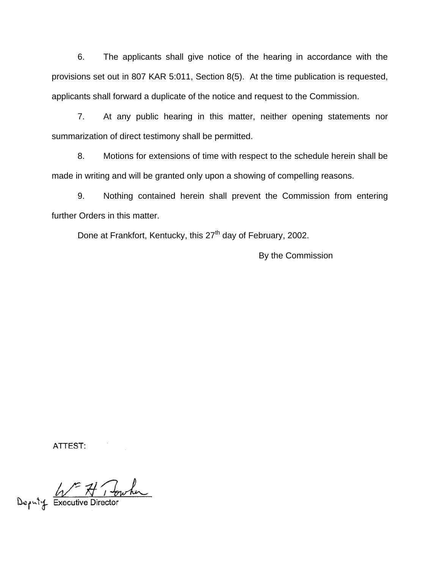6. The applicants shall give notice of the hearing in accordance with the provisions set out in 807 KAR 5:011, Section 8(5). At the time publication is requested, applicants shall forward a duplicate of the notice and request to the Commission.

7. At any public hearing in this matter, neither opening statements nor summarization of direct testimony shall be permitted.

8. Motions for extensions of time with respect to the schedule herein shall be made in writing and will be granted only upon a showing of compelling reasons.

9. Nothing contained herein shall prevent the Commission from entering further Orders in this matter.

Done at Frankfort, Kentucky, this 27<sup>th</sup> day of February, 2002.

By the Commission

ATTEST:

Deputy Executive Director